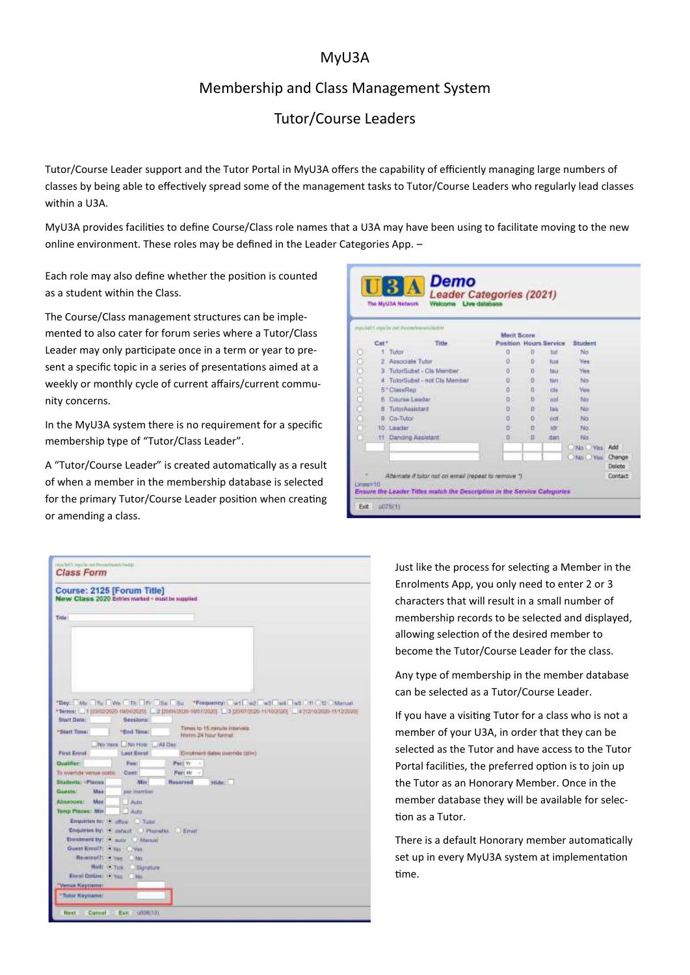### MyU3A

### Membership and Class Management System

## Tutor/Course Leaders

Tutor/Course Leader support and the Tutor Portal in MyU3A offers the capability of efficiently managing large numbers of classes by being able to effectively spread some of the management tasks to Tutor/Course Leaders who regularly lead classes within a U3A.

MyU3A provides facilities to define Course/Class role names that a U3A may have been using to facilitate moving to the new online environment. These roles may be defined in the Leader Categories App. –

Each role may also define whether the position is counted as a student within the Class.

The Course/Class management structures can be implemented to also cater for forum series where a Tutor/Class Leader may only participate once in a term or year to present a specific topic in a series of presentations aimed at a weekly or monthly cycle of current affairs/current community concerns.

In the MyU3A system there is no requirement for a specific membership type of "Tutor/Class Leader".

A "Tutor/Course Leader" is created automatically as a result of when a member in the membership database is selected for the primary Tutor/Course Leader position when creating or amending a class.

|                  | myscilatt (mys) iv professore/eventsilasht |                                                     |             |                |             |                                |         |
|------------------|--------------------------------------------|-----------------------------------------------------|-------------|----------------|-------------|--------------------------------|---------|
|                  |                                            |                                                     | Merit Score |                |             |                                |         |
| Cat <sup>+</sup> |                                            | Title-                                              |             |                |             | Position Hours Service Student |         |
| o.               | Tuttur.                                    |                                                     | ö           | $\mathbf{0}$   | tut         | No                             |         |
|                  | 2 Associate Tutor                          |                                                     | ü           | $\overline{a}$ | tun         | <b>Yes</b>                     |         |
|                  |                                            | 3 TutorSubst - Cls Member                           | ö           | o              | tas         | Yes                            |         |
| 000000000        |                                            | 4 TutorSubst - not Cls Member                       | ö           | b.             | tim         | No                             |         |
|                  | 5* ClassRep                                |                                                     | ö           | n              | this        | Ven                            |         |
|                  | 6 Course Leader                            |                                                     | ø           | Ü              | <b>doll</b> | No                             |         |
| 8                | TutorAssistart                             |                                                     | g.          | n              | tirs.       | 3U                             |         |
| o                | Do-Tulor                                   |                                                     | ŭ           | ю              | oot         | No                             |         |
| 10               | Loader                                     |                                                     | ö           | n              | 3df         | No                             |         |
| 111              | Danging Assistant                          |                                                     | ä           | n              | dan         | - No                           |         |
|                  |                                            |                                                     |             |                |             | No Ves Add                     |         |
|                  |                                            |                                                     |             |                |             | O No. You Change               |         |
|                  |                                            |                                                     |             |                |             |                                | Delote  |
|                  |                                            | Attemate if tubir not on email (repeat to remove ") |             |                |             |                                | Contact |



Just like the process for selecting a Member in the Enrolments App, you only need to enter 2 or 3 characters that will result in a small number of membership records to be selected and displayed, allowing selection of the desired member to become the Tutor/Course Leader for the class.

Any type of membership in the member database can be selected as a Tutor/Course Leader.

If you have a visiting Tutor for a class who is not a member of your U3A, in order that they can be selected as the Tutor and have access to the Tutor Portal facilities, the preferred option is to join up the Tutor as an Honorary Member. Once in the member database they will be available for selection as a Tutor.

There is a default Honorary member automatically set up in every MyU3A system at implementation time.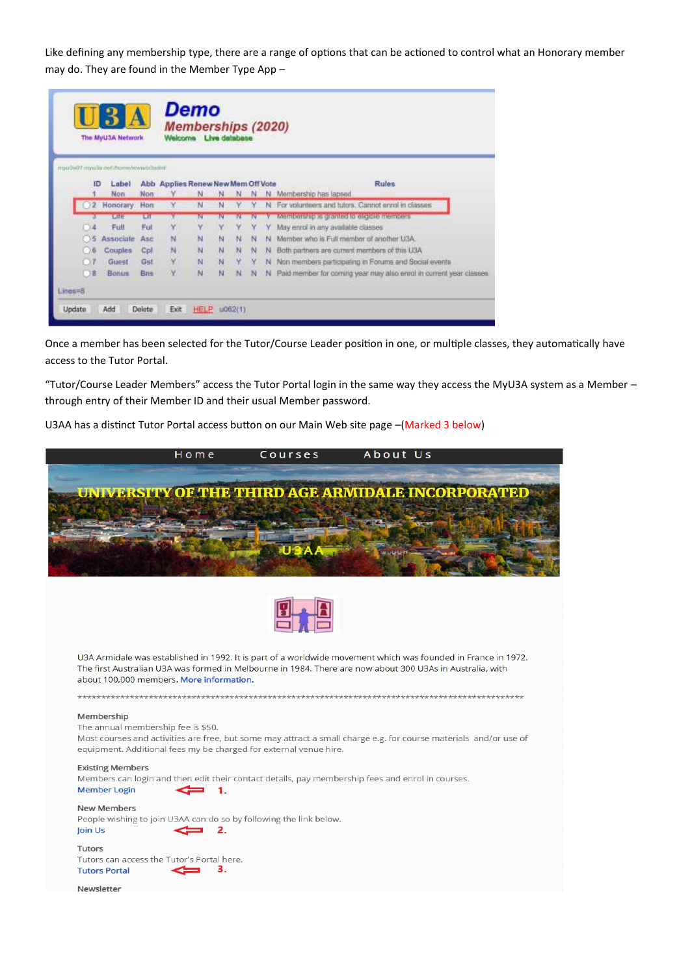Like defining any membership type, there are a range of options that can be actioned to control what an Honorary member may do. They are found in the Member Type App –

|        |    | UR<br>The MyU3A Network                 |            | Welcome                            | <b>Memberships (2020)</b> | Live database |   |   |    |                                                                    |
|--------|----|-----------------------------------------|------------|------------------------------------|---------------------------|---------------|---|---|----|--------------------------------------------------------------------|
|        |    | mpochis01.mpochi.oet/bomi/envirochistor |            |                                    |                           |               |   |   |    |                                                                    |
|        | ID | Label                                   |            | Abb Applies Renew New Mem Off Vote |                           |               |   |   |    | <b>Rules</b>                                                       |
|        |    | Non                                     | Non        |                                    | Ν                         |               |   |   | N  | Membership has lapsed                                              |
|        |    | Honorary.                               | Hon        | Y.                                 | N                         | N             | ٧ | γ | N. | For volunteers and tuters. Cannot enrol in classes                 |
|        |    | Lite                                    | LIT        |                                    | TV.                       | N             |   | N |    | Metriberanp is granted to eligible members.                        |
|        |    | Full                                    | Ful        | v                                  | ٧                         |               | ٧ | Y | ٧  | May enrol in any available classes.                                |
|        |    | <b>Associate</b>                        | Asc        | N                                  | <b>M</b>                  | N             | N | N | N  | Member who is Full member of another U3A.                          |
|        | 00 | Couples                                 | Cpl        | N                                  | N                         | $\mathbf N$   | N | N |    | N Both partners are current members of this U3A                    |
|        |    | Guest                                   | Gut        | v                                  | N                         | 'N            | Ÿ | Υ | N  | Non members participating in Forums and Social events              |
|        | Ο8 | Bonus                                   | <b>Bns</b> | M                                  | N                         | N             | N | N | N  | Paid member for coming year may also enrol in current year classes |
| E=amil |    |                                         |            |                                    |                           |               |   |   |    |                                                                    |

Once a member has been selected for the Tutor/Course Leader position in one, or multiple classes, they automatically have access to the Tutor Portal.

"Tutor/Course Leader Members" access the Tutor Portal login in the same way they access the MyU3A system as a Member – through entry of their Member ID and their usual Member password.

U3AA has a distinct Tutor Portal access button on our Main Web site page –(Marked 3 below)

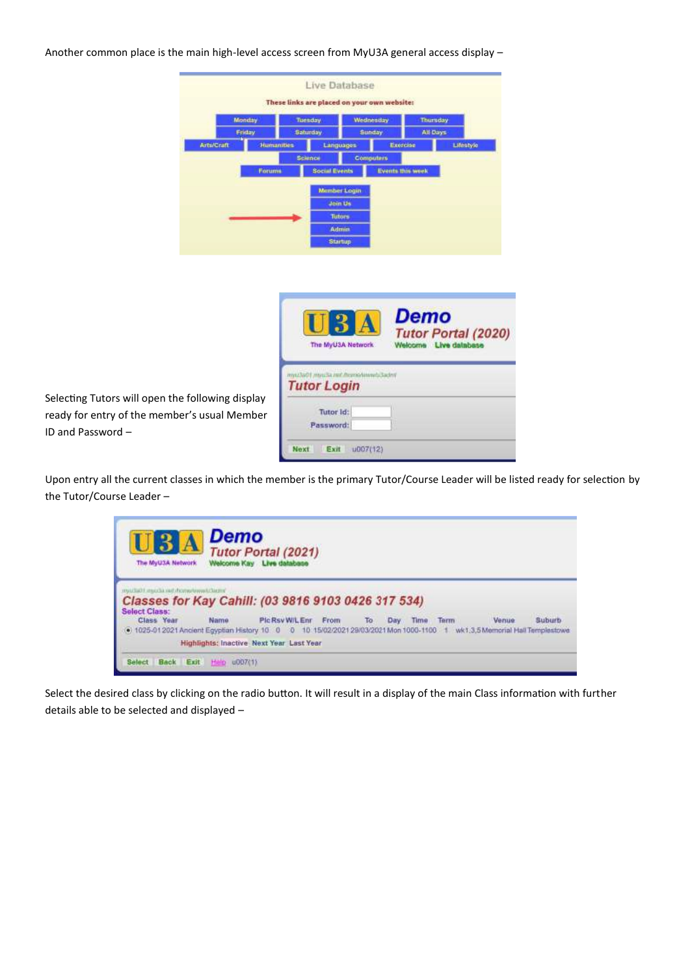Another common place is the main high-level access screen from MyU3A general access display –

|                                                  |                   | These links are placed on your own website: | Live Database       |                  |                            |
|--------------------------------------------------|-------------------|---------------------------------------------|---------------------|------------------|----------------------------|
|                                                  | Monday            | Tuesday                                     | Wednesday           |                  | Thursday                   |
|                                                  | Friday            | <b>Saturday</b>                             | Gunday              |                  | All Days                   |
| <b>Arts/Craft</b>                                | <b>Humanities</b> |                                             | Languages           | Exercise         | Lifestyle                  |
|                                                  |                   | <b>Science</b>                              | <b>Computers</b>    |                  |                            |
|                                                  | Forums            | <b>Social Events</b>                        |                     | Events this week |                            |
|                                                  |                   |                                             | <b>Member Login</b> |                  |                            |
|                                                  |                   |                                             | <b>Join Us</b>      |                  |                            |
|                                                  |                   |                                             | Tutors.             |                  |                            |
|                                                  |                   |                                             | <b>Admin</b>        |                  |                            |
|                                                  |                   |                                             | <b>Startup</b>      |                  |                            |
|                                                  |                   |                                             |                     |                  |                            |
|                                                  |                   |                                             |                     |                  |                            |
|                                                  |                   |                                             |                     |                  |                            |
|                                                  |                   |                                             |                     |                  |                            |
|                                                  |                   |                                             |                     |                  |                            |
|                                                  |                   |                                             |                     | <b>Demo</b>      |                            |
|                                                  |                   |                                             |                     |                  | <b>Tutor Portal (2020)</b> |
|                                                  |                   |                                             | The MyU3A Network   |                  | Welcome Live database      |
|                                                  |                   |                                             |                     |                  |                            |
|                                                  |                   | myssTeO1 myssTe net Morrishistends Sadmi    |                     |                  |                            |
|                                                  |                   | <b>Tutor Login</b>                          |                     |                  |                            |
| Selecting Tutors will open the following display |                   |                                             |                     |                  |                            |
| ready for entry of the member's usual Member     |                   | Tutor Id:                                   |                     |                  |                            |
| ID and Password -                                |                   | Password:                                   |                     |                  |                            |
|                                                  |                   |                                             |                     |                  |                            |
|                                                  |                   | Next<br>Exit                                | u007(12)            |                  |                            |

Upon entry all the current classes in which the member is the primary Tutor/Course Leader will be listed ready for selection by the Tutor/Course Leader –

| $\blacksquare$ 3 A<br>The MyU3A Network                                                                                 | Demo | <b>Tutor Portal (2021)</b><br>Welcome Kay Live database |  |             |      |       |        |
|-------------------------------------------------------------------------------------------------------------------------|------|---------------------------------------------------------|--|-------------|------|-------|--------|
| would share the technical subsets that<br>Classes for Kay Cahill: (03 9816 9103 0426 317 534)<br><b>Select Class:</b>   |      |                                                         |  |             |      |       |        |
| Class Year                                                                                                              | Name | PlcRsvW/LEnr From To                                    |  | Day<br>Time | Term | Venue | Suburb |
|                                                                                                                         |      |                                                         |  |             |      |       |        |
| +1025-012021 Ancient Egyptian History 10 0 0 10 15/02/2021 29/03/2021 Mon 1000-1100 1 wk1.3,5 Memorial Hall Templestowe |      |                                                         |  |             |      |       |        |

Select the desired class by clicking on the radio button. It will result in a display of the main Class information with further details able to be selected and displayed –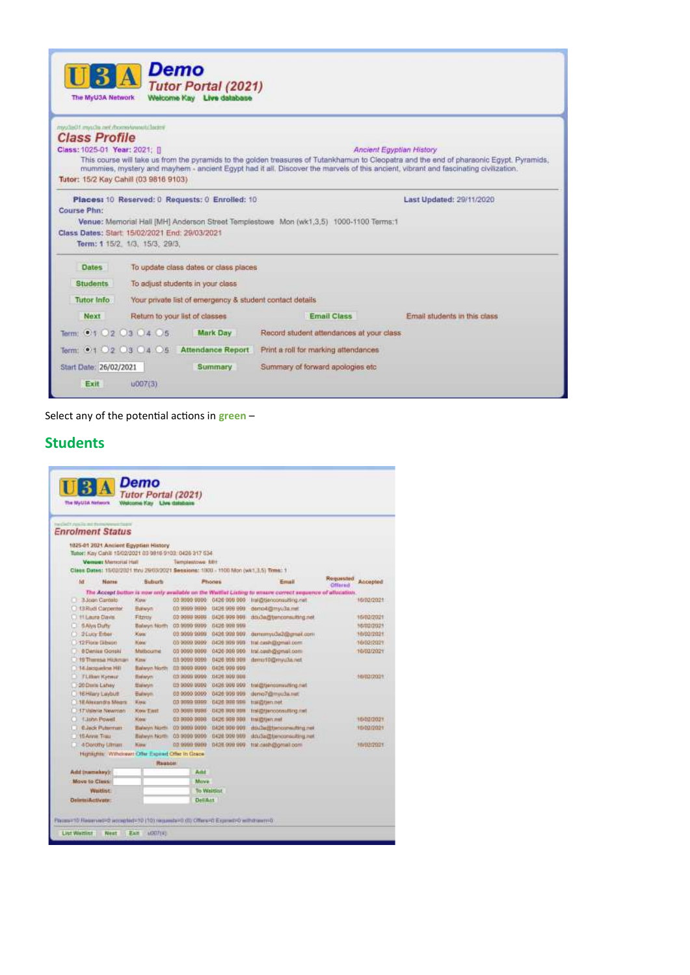| The MyU3A Network.                                                                                                                          | Demo                           | <b>Tutor Portal (2021)</b><br>Welcome Kay Live database |                                                                                       |                                                                                                                                                                                                                                                                                                             |
|---------------------------------------------------------------------------------------------------------------------------------------------|--------------------------------|---------------------------------------------------------|---------------------------------------------------------------------------------------|-------------------------------------------------------------------------------------------------------------------------------------------------------------------------------------------------------------------------------------------------------------------------------------------------------------|
| mys/la01.mys/in.net.floorastawasti.lautes<br><b>Class Profile</b><br>Class: 1025-01 Year: 2021: []<br>Tutor: 15/2 Kay Cahill (03 9816 9103) |                                |                                                         |                                                                                       | Ancient Egyptian History<br>This course will take us from the pyramids to the golden treasures of Tutankhamun to Cleopatra and the end of pharaonic Egypt. Pyramids,<br>mummies, mystery and mayhem - ancient Egypt had it all. Discover the marvels of this ancient, vibrant and fascinating civilization. |
| Course Phn:<br>Class Dates: Start: 15/02/2021 End: 29/03/2021                                                                               | Term: 1 15/2, 1/3, 15/3, 29/3, | Places: 10 Reserved: 0 Requests: 0 Enrolled: 10         | Venue: Memorial Hall [MH] Anderson Street Templestowe Mon (wk1,3.5) 1000-1100 Terms:1 | Last Updated: 29/11/2020                                                                                                                                                                                                                                                                                    |
| <b>Dates</b>                                                                                                                                |                                | To update class dates or class places                   |                                                                                       |                                                                                                                                                                                                                                                                                                             |
| <b>Students</b>                                                                                                                             |                                | To adjust students in your class                        |                                                                                       |                                                                                                                                                                                                                                                                                                             |
| <b>Tutor Info</b>                                                                                                                           |                                |                                                         | Your private list of emergency & student contact details                              |                                                                                                                                                                                                                                                                                                             |
| Next                                                                                                                                        | Return to your list of classes |                                                         | <b>Email Class</b>                                                                    | Email students in this class                                                                                                                                                                                                                                                                                |
| Term: 01 02 03 04 05                                                                                                                        |                                | Mark Day                                                | Record student attendances at your class                                              |                                                                                                                                                                                                                                                                                                             |
| Term: 0102030405                                                                                                                            |                                | <b>Attendance Report</b>                                | Print a roll for marking attendances                                                  |                                                                                                                                                                                                                                                                                                             |
| Start Date: 26/02/2021<br>Exit                                                                                                              | 1007(3)                        | Summary                                                 | Summary of forward apologies etc.                                                     |                                                                                                                                                                                                                                                                                                             |

Select any of the potential actions in **green** –

# **Students**

|                      | <b>Enrolment Status</b>                |                                                       |                              |                                                                                     |                                                                                                         |                             |            |
|----------------------|----------------------------------------|-------------------------------------------------------|------------------------------|-------------------------------------------------------------------------------------|---------------------------------------------------------------------------------------------------------|-----------------------------|------------|
|                      |                                        | 1025-01 2021 Ancient Esyptian History                 |                              |                                                                                     |                                                                                                         |                             |            |
|                      |                                        | Tuber: Kay Canii 15/02/2021 03:3816 9103:0426 317 534 |                              |                                                                                     |                                                                                                         |                             |            |
|                      | Versuer Marticital Hall                |                                                       | Technological RDE            |                                                                                     |                                                                                                         |                             |            |
|                      |                                        |                                                       |                              | Class Dates: 15/02/2821 thru 29/03/2021 Sessions: 1830 - 1100 Mon (wk1.3.5) Trms: 1 |                                                                                                         |                             |            |
| M                    | Nome                                   | <b>Buburt</b>                                         |                              | Phones                                                                              | Email                                                                                                   | Requested<br><b>Offsred</b> | Accepted   |
|                      |                                        |                                                       |                              |                                                                                     | The Accept button is now only available on the Warthst Listing to wasne correct sequence of allocation. |                             |            |
|                      | 3 3 Joan Cardelo<br>13 Rudi Corpertter | <b>ACLINA</b><br><b>Ballwark</b>                      | 00.9999.9999<br>00:9999:9999 | 0426 999 999<br>0426 999 999                                                        | Im/@tienconsulting.net<br>derro-billinyu3a.mf                                                           |                             | 16/02/2021 |
|                      | <b>H.Laura Davis</b>                   | Fitzyov                                               | 03 9999 9989                 | 0426 999 998                                                                        | doughtenconsulting.net                                                                                  |                             | 16/02/2021 |
|                      | <b>BAiys Dufty</b>                     | Balayin North                                         | 03 9999 9999                 | 0430 999 999                                                                        |                                                                                                         |                             | 16/02/2021 |
|                      | <b>2 Lucy Erber</b>                    | Kon                                                   | 03.9099.9999                 | 0426 999 909                                                                        | demonyu3d2@gmail.com                                                                                    |                             | 16/02/2021 |
|                      | 12 First Dibeen                        | <b>BLON</b>                                           | 05 9009 9999                 | 0426 999 999                                                                        | trat-cash@gmail.com                                                                                     |                             | 16/02/2021 |
|                      | <b>B Denise Gorski</b>                 | Motbourne                                             | 05 9999 9999                 | 0420 099 999                                                                        | Inc.cesh@gmail.com                                                                                      |                             | 16/02/2021 |
|                      | 19 Thenesa Hickman                     | Kins                                                  | 03 9999 9999                 | 0436 909 909                                                                        | dema10@www.fas.wet                                                                                      |                             |            |
|                      | 14 Incquestra Hill                     | <b>Halwyn North</b>                                   | 03 8000 8300                 | 0436 000 500                                                                        |                                                                                                         |                             |            |
|                      | <b>TLEban Katwur</b>                   | <b>Harwym</b>                                         | 03 0000 0000                 | 0426 900 908                                                                        |                                                                                                         |                             | 16/02/2021 |
|                      | 20 Dees Laney                          | <b>Halwyn</b>                                         | 05 5009 5000                 | 0436 998 999                                                                        | Tran pridiumionistical (p)                                                                              |                             |            |
|                      | 16 Hilary Laybutt                      | Bulwyn.                                               | 03 0000 0000                 | 0426 000 909                                                                        | denio7@myu3a.nat                                                                                        |                             |            |
|                      | 18 Aircradia Means                     | <b>Warat</b>                                          | 03 9599 9399                 | 0426 998 998                                                                        | trai@tien.net                                                                                           |                             |            |
|                      | 17 Visitette Newman                    | Kew East                                              | 03.9099.9999                 | <b>DADO NGG IRDN</b>                                                                | Imidditienconsulting.rml                                                                                |                             |            |
|                      | <b>Elizhh Powell</b>                   | <b>Kidray</b>                                         | 03 9990 9993                 | 0420 999 999                                                                        | toughan net                                                                                             |                             | 16432/2021 |
|                      | <b>C.Jack Puterman</b>                 | Baheyn North                                          | 03.0009.0008                 | 0426 990 999                                                                        | disting the consulting net                                                                              |                             | 10/02/2021 |
| 16 Arrest Trees      |                                        | Bahwyn North                                          | 03 9899 9999                 | 0426 999 989                                                                        | stout and the moons at the cut-                                                                         |                             |            |
|                      | 4 Dorothy Ulman                        | <b><i><u>Marw</u></i></b>                             | 03 9999 9999                 | 0426 999 999                                                                        | trat desh@gmail.com                                                                                     |                             | 16/02/2021 |
|                      |                                        | Highlights: Withdrawn Other Expend Other In Grace     |                              |                                                                                     |                                                                                                         |                             |            |
|                      |                                        | <b>Reason</b>                                         |                              |                                                                                     |                                                                                                         |                             |            |
| Add (namakey):       |                                        |                                                       | Add                          |                                                                                     |                                                                                                         |                             |            |
| <b>Move to Cleve</b> |                                        |                                                       | Move                         |                                                                                     |                                                                                                         |                             |            |
|                      | <b>Waitlist</b>                        |                                                       |                              | <b>Tis Waitfist</b>                                                                 |                                                                                                         |                             |            |
|                      |                                        |                                                       |                              |                                                                                     |                                                                                                         |                             |            |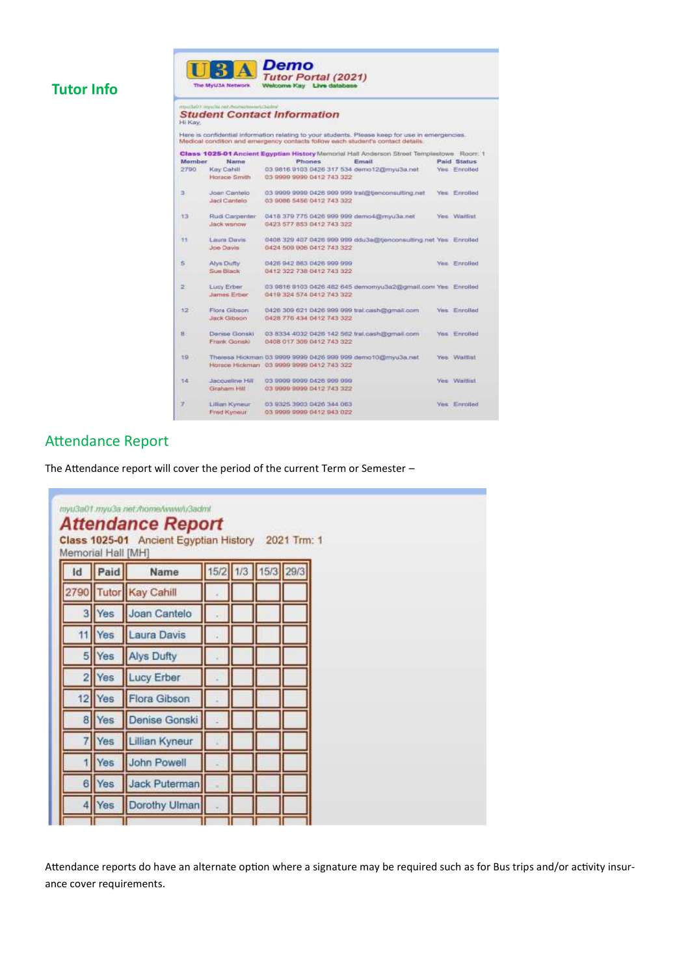# **Tutor Info**

# **UBA**<br> *Tutor Portal (2021)*<br> **The MyUAA Methods**<br> **Welcome Kay** Live database

# **Student Contact Information**

.<br>Here is confidential information relating to your students. Please keep for use in emergencies.<br>Medical condition and emergency contacts follow each student's contact details.

| <b>Member</b> | Name                   | <b>Phones</b>                                                  | Email | Paid Status          |
|---------------|------------------------|----------------------------------------------------------------|-------|----------------------|
| 2790          | Key Cahill             | 03 9815 9103 0426 317 534 demo12@myu3a.net                     |       | <b>Yes: Enrolled</b> |
|               | Harace Smith           | 03 9999 9999 0412 743 322                                      |       |                      |
| 3.            | Joan Cantelo           | 03 9999 9999 0426 999 999 trai@tjenconsulting.net              |       | Yes: Enrolled        |
|               | Jaci Cantelo           | 03 9086 5456 0412 743 322                                      |       |                      |
| 13.           | Rudi Carpenter         | 0418 379 775 0426 999 999 demo4@mvu3a.net                      |       | Yes Waitlist         |
|               | Jack wanow             | 0423 577 853 0412 743 322                                      |       |                      |
| 11            | Laura Davis            | 0408 329 407 0426 999 999 ddu3a@benconsulting.net Yes Enrolled |       |                      |
|               | Joe Davis              | 0424 509 906 0412 743 322                                      |       |                      |
| 5.            | Alva Dulty             | 0426 942 863 0426 999 999                                      |       | <b>Yes Enrolled</b>  |
|               | Sue Black              | 0412 322 738 0412 743 322                                      |       |                      |
| 20            | Lucy Erber             | 03 9818 9103 0426 482 645 demonyu3a2@gmail.com Yes Enrolled    |       |                      |
|               | Jaimes Erber           | 0419 324 574 0412 743 322                                      |       |                      |
| 12            | Flora Gibson           | 0426 309 621 0426 999 999 trail cash@gmail.com                 |       | <b>Yes Enrolled</b>  |
|               | Jack Gibson            | 0428 776 434 0412 743 322                                      |       |                      |
| $H -$         | Denise Gonski          | 03 8334 4032 0426 142 562 trai, cash@omail.com                 |       | Yes Enrolled         |
|               | Frank Gonski           | 0408 017 309 0412 743 322                                      |       |                      |
| 19            |                        | Theresa Hickman 03 9999 9999 0426 999 999 demo10@myu3a.net     |       | Yes. Waitlist        |
|               |                        | Horace Hickman 03 9999 9999 0412 743 322                       |       |                      |
| 54.           | <b>Jacqueline Hill</b> | 03 9999 9999 0426 999 999                                      |       | Yes Waitlist         |
|               | Graham Hill            | 03 9999 9999 0412 743 322                                      |       |                      |
| Y.            | Lillian Kyneur         | 03 9325 3903 0426 344 063                                      |       | Yes: Enrolled        |
|               | Fred Kyneur            | 03 9999 9999 0412 943 022                                      |       |                      |

# Attendance Report

The Attendance report will cover the period of the current Term or Semester –

| $\mathsf{Id}$  | Paid | Name                  |  | 15/2 1/3 15/3 29/3 |  |
|----------------|------|-----------------------|--|--------------------|--|
|                |      | 2790 Tutor Kay Cahill |  |                    |  |
| з              | Yes  | Joan Cantelo          |  |                    |  |
| 11             | Yes  | <b>Laura Davis</b>    |  |                    |  |
| $\overline{5}$ | Yes  | <b>Alys Dufty</b>     |  |                    |  |
| 2              | Yes  | Lucy Erber            |  |                    |  |
| 12             | Yes  | Flora Gibson          |  |                    |  |
| $\mathbf{8}$   | Yes  | Denise Gonski         |  |                    |  |
|                | Yes  | Lillian Kyneur        |  |                    |  |
|                | Yes  | John Powell           |  |                    |  |
| 6              | Yes  | Jack Puterman         |  |                    |  |
|                | Yes  | Dorothy Ulman         |  |                    |  |

Attendance reports do have an alternate option where a signature may be required such as for Bus trips and/or activity insurance cover requirements.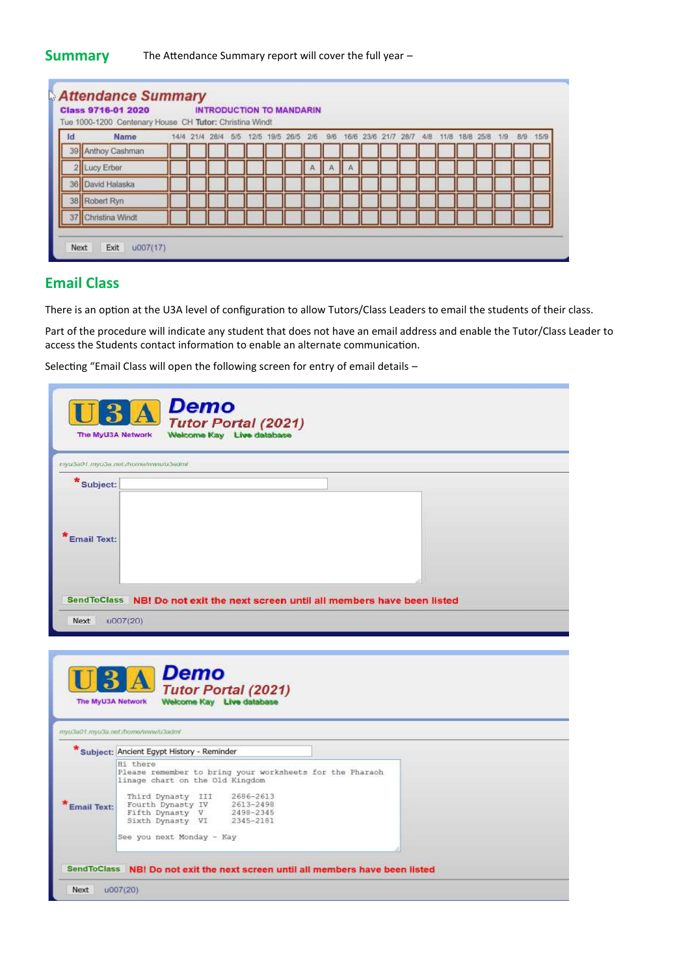#### **Summary** The Attendance Summary report will cover the full year –

| Id | Tue 1000-1200 Centenary House CH Tutor: Christina Windt<br>Name |  | 14/4 21/4 28/4 5/5 |  | 12/5 19/5 26/5 2/6 |  |  |  |  | 9/6 16/6 23/6 21/7 28/7 4/8 11/8 18/8 25/8 1/9 | 8/9 | 15/9 |
|----|-----------------------------------------------------------------|--|--------------------|--|--------------------|--|--|--|--|------------------------------------------------|-----|------|
| 39 | Anthoy Cashman                                                  |  |                    |  |                    |  |  |  |  |                                                |     |      |
|    | Lucy Erber                                                      |  |                    |  |                    |  |  |  |  |                                                |     |      |
| 36 | David Halaska                                                   |  |                    |  |                    |  |  |  |  |                                                |     |      |
|    | 38 Robert Ryn                                                   |  |                    |  |                    |  |  |  |  |                                                |     |      |
|    | Christina Windt                                                 |  |                    |  |                    |  |  |  |  |                                                |     |      |

### **Email Class**

There is an option at the U3A level of configuration to allow Tutors/Class Leaders to email the students of their class.

Part of the procedure will indicate any student that does not have an email address and enable the Tutor/Class Leader to access the Students contact information to enable an alternate communication.

Selecting "Email Class will open the following screen for entry of email details –

| Demo<br><b>Tutor Portal (2021)</b><br>Wełcome Kay Live database<br>The MyU3A Network                                                                                                                                                                                                |
|-------------------------------------------------------------------------------------------------------------------------------------------------------------------------------------------------------------------------------------------------------------------------------------|
| myu3a01.myu3a.net/home/www/u3adml                                                                                                                                                                                                                                                   |
| * Subject:<br><b>Email Text:</b>                                                                                                                                                                                                                                                    |
| SendToClass NB! Do not exit the next screen until all members have been listed<br>Next<br>u007(20)                                                                                                                                                                                  |
| Demo<br><b>Tutor Portal (2021)</b><br>Welcome Kay Live database<br>The MyU3A Network<br>myu3a01.myu3a.net./home/www/u3adml                                                                                                                                                          |
| * Subject: Ancient Egypt History - Reminder                                                                                                                                                                                                                                         |
| Hi there<br>Please remember to bring your worksheets for the Pharaoh<br>linage chart on the Old Kingdom<br>Third Dynasty III 2686-2613<br>Fourth Dynasty IV 2613-2498<br>Fifth Dynasty V 2498-2345<br>Sixth Dynasty VI 2345-2181<br><b>Email Text:</b><br>See you next Monday - Kay |
| SendToClass NBI Do not exit the next screen until all members have been listed                                                                                                                                                                                                      |
| Next<br>u007(20)                                                                                                                                                                                                                                                                    |